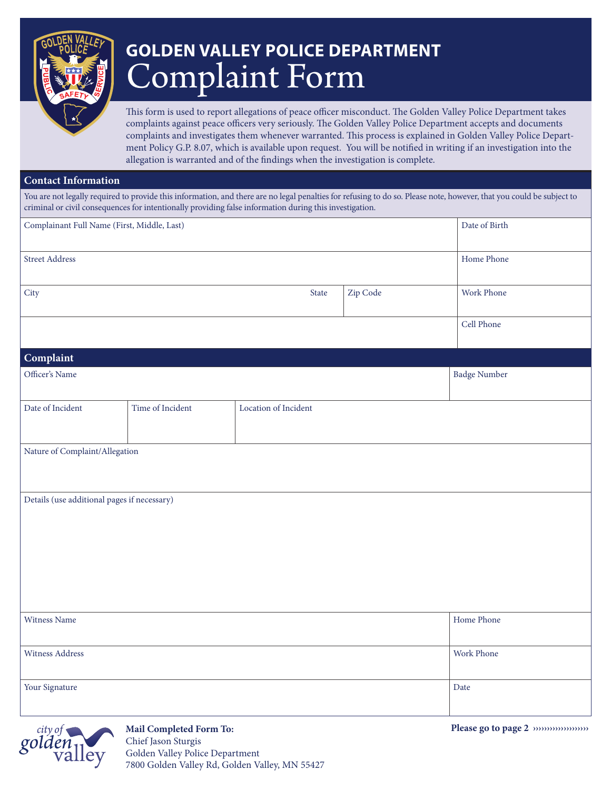

## Complaint Form **GOLDEN VALLEY POLICE DEPARTMENT**

This form is used to report allegations of peace officer misconduct. The Golden Valley Police Department takes complaints against peace officers very seriously. The Golden Valley Police Department accepts and documents complaints and investigates them whenever warranted. This process is explained in Golden Valley Police Department Policy G.P. 8.07, which is available upon request. You will be notified in writing if an investigation into the allegation is warranted and of the findings when the investigation is complete.

## **Contact Information**

You are not legally required to provide this information, and there are no legal penalties for refusing to do so. Please note, however, that you could be subject to criminal or civil consequences for intentionally providing false information during this investigation.

| Complainant Full Name (First, Middle, Last) |                  |                      |          | Date of Birth |
|---------------------------------------------|------------------|----------------------|----------|---------------|
| Street Address                              |                  |                      |          | Home Phone    |
| City                                        |                  | State                | Zip Code | Work Phone    |
|                                             |                  |                      |          | Cell Phone    |
| Complaint                                   |                  |                      |          |               |
| Officer's Name                              |                  |                      |          | Badge Number  |
| Date of Incident                            | Time of Incident | Location of Incident |          |               |
| Nature of Complaint/Allegation              |                  |                      |          |               |
| Details (use additional pages if necessary) |                  |                      |          |               |
| Witness Name                                |                  |                      |          | Home Phone    |
| Witness Address                             |                  |                      |          | Work Phone    |
| Your Signature                              |                  |                      |          | Date          |



**Mail Completed Form To:** Chief Jason Sturgis Golden Valley Police Department 7800 Golden Valley Rd, Golden Valley, MN 55427 **Please go to page 2 ››››››››››››››››››››**